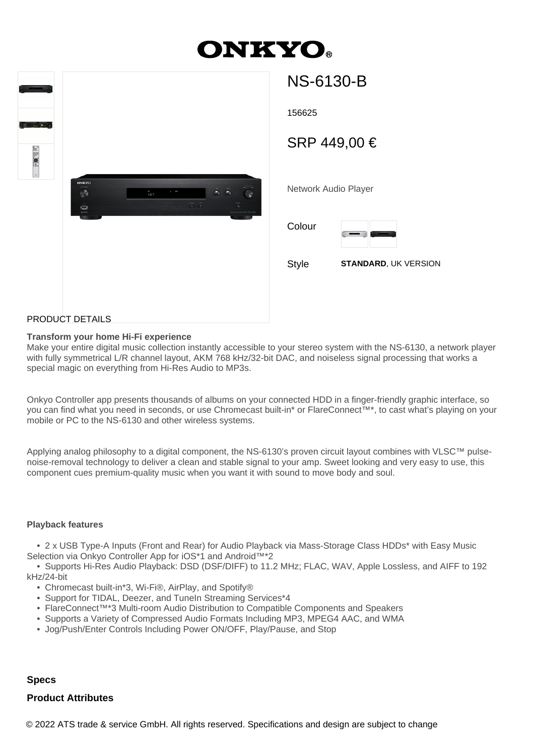# **DNKYO**

| $-$<br>$\sigma = \frac{1}{2}$<br>eus ge<br><b>ELLING::</b><br>$\frac{1}{2} \left( \frac{1}{2} \right)^{\frac{1}{2}} \left( \frac{1}{2} \right)^{\frac{1}{2}} \left( \frac{1}{2} \right)^{\frac{1}{2}} \left( \frac{1}{2} \right)^{\frac{1}{2}} \left( \frac{1}{2} \right)^{\frac{1}{2}} \left( \frac{1}{2} \right)^{\frac{1}{2}} \left( \frac{1}{2} \right)^{\frac{1}{2}} \left( \frac{1}{2} \right)^{\frac{1}{2}} \left( \frac{1}{2} \right)^{\frac{1}{2}} \left( \frac{1}{2} \right)^{\frac{1}{2}} \left( \frac{1}{2} \right)^$ | <b>ONKYO</b><br>Ø<br>$\sum_{\nu=0}^{\infty}$ | $\frac{4}{NT}$ | $1 - m$ | ٠<br>$\frac{1}{2}$<br>$\ddot{\circ}$ | $\mathbb{R}$<br><b>NS-6530</b> |
|-----------------------------------------------------------------------------------------------------------------------------------------------------------------------------------------------------------------------------------------------------------------------------------------------------------------------------------------------------------------------------------------------------------------------------------------------------------------------------------------------------------------------------------|----------------------------------------------|----------------|---------|--------------------------------------|--------------------------------|
|                                                                                                                                                                                                                                                                                                                                                                                                                                                                                                                                   | <b>DOODUOT DETAILO</b>                       |                |         |                                      |                                |

## NS-6130-B

156625

SRP 449,00 €

Network Audio Player

Colour



Style **STANDARD**, UK VERSION

### PRODUCT DETAILS

#### **Transform your home Hi-Fi experience**

Make your entire digital music collection instantly accessible to your stereo system with the NS-6130, a network player with fully symmetrical L/R channel layout, AKM 768 kHz/32-bit DAC, and noiseless signal processing that works a special magic on everything from Hi-Res Audio to MP3s.

Onkyo Controller app presents thousands of albums on your connected HDD in a finger-friendly graphic interface, so you can find what you need in seconds, or use Chromecast built-in\* or FlareConnect™\*, to cast what's playing on your mobile or PC to the NS-6130 and other wireless systems.

Applying analog philosophy to a digital component, the NS-6130's proven circuit layout combines with VLSC™ pulsenoise-removal technology to deliver a clean and stable signal to your amp. Sweet looking and very easy to use, this component cues premium-quality music when you want it with sound to move body and soul.

#### **Playback features**

 • 2 x USB Type-A Inputs (Front and Rear) for Audio Playback via Mass-Storage Class HDDs\* with Easy Music Selection via Onkyo Controller App for iOS\*1 and Android™\*2

 • Supports Hi-Res Audio Playback: DSD (DSF/DIFF) to 11.2 MHz; FLAC, WAV, Apple Lossless, and AIFF to 192 kHz/24-bit

- Chromecast built-in\*3, Wi-Fi®, AirPlay, and Spotify®
- Support for TIDAL, Deezer, and TuneIn Streaming Services\*4
- FlareConnect™\*3 Multi-room Audio Distribution to Compatible Components and Speakers
- Supports a Variety of Compressed Audio Formats Including MP3, MPEG4 AAC, and WMA
- Jog/Push/Enter Controls Including Power ON/OFF, Play/Pause, and Stop

#### **Specs**

#### **Product Attributes**